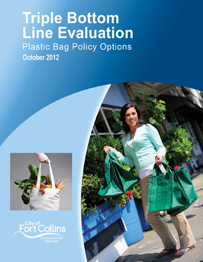# **Triple Bottom<br>Line Evaluation Plastic Bag Policy Options** October 2012





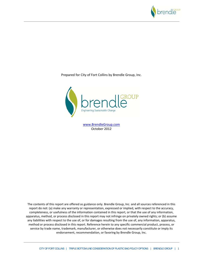

Prepared for City of Fort Collins by Brendle Group, Inc.



www.BrendleGroup.com October 2012

The contents of this report are offered as guidance only. Brendle Group, Inc. and all sources referenced in this report do not: (a) make any warranty or representation, expressed or implied, with respect to the accuracy, completeness, or usefulness of the information contained in this report, or that the use of any information, apparatus, method, or process disclosed in this report may not infringe on privately owned rights; or (b) assume any liabilities with respect to the use of, or for damages resulting from the use of, any information, apparatus, method or process disclosed in this report. Reference herein to any specific commercial product, process, or service by trade name, trademark, manufacturer, or otherwise does not necessarily constitute or imply its endorsement, recommendation, or favoring by Brendle Group, Inc.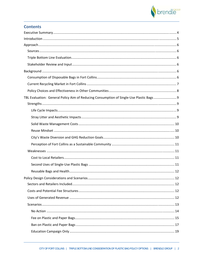

## **Contents**

| TBL Evaluation: General Policy Aim of Reducing Consumption of Single-Use Plastic Bags  9 |      |
|------------------------------------------------------------------------------------------|------|
|                                                                                          |      |
|                                                                                          |      |
|                                                                                          |      |
|                                                                                          |      |
|                                                                                          |      |
|                                                                                          |      |
|                                                                                          |      |
|                                                                                          |      |
|                                                                                          |      |
|                                                                                          |      |
|                                                                                          |      |
|                                                                                          | . 12 |
|                                                                                          |      |
|                                                                                          |      |
|                                                                                          |      |
|                                                                                          |      |
|                                                                                          |      |
|                                                                                          |      |
|                                                                                          |      |
|                                                                                          |      |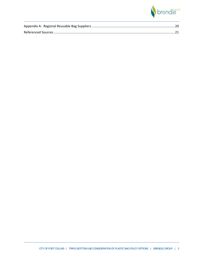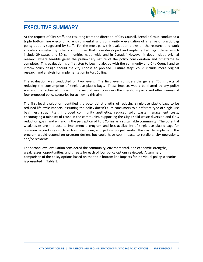

# **EXECUTIVE SUMMARY**

At the request of City Staff, and resulting from the direction of City Council, Brendle Group conducted a triple bottom line – economic, environmental, and community – evaluation of a range of plastic bag policy options suggested by Staff. For the most part, this evaluation draws on the research and work already completed by other communities that have developed and implemented bag policies which include 29 states and 80 communities nationwide and in Canada.<sup>i</sup> However it does include original research where feasible given the preliminary nature of the policy consideration and timeframe to complete. This evaluation is a first‐step to begin dialogue with the community and City Council and to inform policy design should the city choose to proceed. Future steps could include more original research and analysis for implementation in Fort Collins.

The evaluation was conducted on two levels. The first level considers the general TBL impacts of reducing the consumption of single-use plastic bags. These impacts would be shared by any policy scenario that achieved this aim. The second level considers the specific impacts and effectiveness of four proposed policy scenarios for achieving this aim.

The first level evaluation identified the potential strengths of reducing single‐use plastic bags to be reduced life cycle impacts (assuming the policy doesn't turn consumers to a different type of single-use bag), less stray litter, improved community aesthetics, reduced solid waste management costs, encouraging a mindset of reuse in the community, supporting the City's solid waste diversion and GHG reduction goals, and enhancing the perception of Fort Collins as a sustainable community. The potential weaknesses are the cost to implement a program and less availability of single-use plastic bags for common second uses such as trash can lining and picking up pet waste. The cost to implement the program would depend on program design, but could have cost impacts to retailers, city operations, and/or residents.

The second level evaluation considered the community, environmental, and economic strengths, weaknesses, opportunities, and threats for each of four policy options reviewed. A summary comparison of the policy options based on the triple bottom line impacts for individual policy scenarios is presented in Table 1.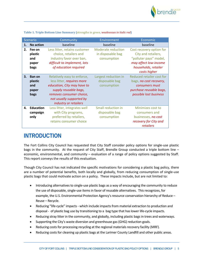

|    | <b>Scenario</b>                           | Community                                                                                                                                                                                          | Environment                                                   | Economic                                                                                                                                   |
|----|-------------------------------------------|----------------------------------------------------------------------------------------------------------------------------------------------------------------------------------------------------|---------------------------------------------------------------|--------------------------------------------------------------------------------------------------------------------------------------------|
| 1. | <b>No action</b>                          | baseline                                                                                                                                                                                           | baseline                                                      | baseline                                                                                                                                   |
| 2. | Fee on<br>plastic<br>and<br>paper<br>bags | Less litter, retains customer<br>choice, retailers and<br>industry favor over ban,<br>difficult to implement, lots<br>of education required                                                        | <b>Moderate reduction</b><br>in disposable bag<br>consumption | Cost recovery option for<br>City and retailers,<br>"polluter pays" model,<br>may affect low-income<br>households, retailer<br>costs higher |
| 3. | Ban on<br>plastic<br>and<br>paper<br>bags | Relatively easy to enforce,<br>less litter, requires more<br>education, City may have to<br>supply reusable bags,<br>removes consumer choice,<br>not usually supported by<br>industry or retailers | Largest reduction in<br>disposable bag<br>consumption         | Reduced retailer cost for<br>bags, no cost recovery,<br>consumers must<br>purchase reusable bags,<br>possible lost business                |
| 4. | <b>Education</b><br>campaign<br>only      | Less litter, integrates well<br>with City programs,<br>preferred by retailers,<br>retains consumer choice                                                                                          | Small reduction in<br>disposable bag<br>consumption           | Minimizes cost to<br>consumers and<br>businesses, no cost<br>recovery for City and<br>retailers                                            |

**Table 1. Triple Bottom Line Summary (**strengths in green, *weaknesses in italic red***)**

# **INTRODUCTION**

The Fort Collins City Council has requested that City Staff consider policy options for single‐use plastic bags in the community. At the request of City Staff, Brendle Group conducted a triple bottom line – economic, environmental, and community – evaluation of a range of policy options suggested by Staff. This report conveys the results of this evaluation.

Though City Council has not indicated the specific motivations for considering a plastic bag policy, there are a number of potential benefits, both locally and globally, from reducing consumption of single-use plastic bags that could motivate action on a policy. These impacts include, but are not limited to:

- Introducing alternatives to single-use plastic bags as a way of encouraging the community to reduce the use of disposable, single-use items in favor of reusable alternatives. This recognizes, for example, the U.S. Environmental Protection Agency'sresource conservation hierarchy of Reduce – Reuse – Recycle.
- Reducing "life-cycle" impacts which include impacts from material extraction to production and disposal - of plastic bag use by transitioning to a bag type that has lower life-cycle impacts.
- Reducing stray litter in the community, and globally, including plastic bags in trees and waterways.
- Supporting the City's waste diversion and greenhouse gas (GHG) reduction goals.
- Reducing costs for processing recycling at the regional materials recovery facility (MRF).
- Reducing costs for cleaning up plastic bags at the Larimer County Landfill and other public areas.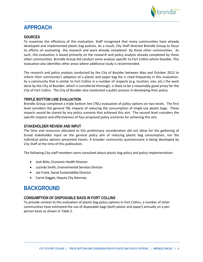

# **APPROACH**

## **SOURCES**

To maximize the efficiency of this evaluation, Staff recognized that many communities have already developed and implemented plastic bag policies. As a result, City Staff directed Brendle Group to focus its efforts on evaluating the research and work already completed by these other communities. As such, this evaluation is based primarily on the research and policy analysis already completed by these other communities. Brendle Group did conduct some analysis specific to Fort Collins where feasible. This evaluation also identifies other areas where additional study is recommended.

The research and policy analysis conducted by the City of Boulder between May and October 2012 to inform their community's adoption of a plastic and paper bag fee is cited frequently in this evaluation. As a community that is similar to Fort Collins in a number of respects (e.g. location, size, etc.) the work done by the City of Boulder, which is considered thorough, is likely to be a reasonably good proxy for the City of Fort Collins. The City of Boulder also conducted a public process in developing their policy.

## **TRIPLE BOTTOM LINE EVALUATION**

Brendle Group completed a triple bottom line (TBL) evaluation of policy options on two levels. The first level considers the general TBL impacts of reducing the consumption of single-use plastic bags. These impacts would be shared by any policy scenario that achieved this aim. The second level considers the specific impacts and effectiveness of four proposed policy scenarios for achieving this aim.

## **STAKEHOLDER REVIEW AND INPUT**

The time and resources allocated to this preliminary consideration did not allow for the gathering of broad stakeholder input on the general policy aim of reducing plastic bag consumption, nor the individual policy options presented herein. A broader community questionnaire is being developed by City Staff at the time of this publication.

The following City staff members were consulted about plastic bag policy and policy implementation:

- Josh Birks, Economic Health Director
- Lucinda Smith, Environmental Services Director
- Joe Frank, Social Sustainability Director
- Carrie Dagget, Deputy City Attorney

# **BACKGROUND**

## **CONSUMPTION OF DISPOSABLE BAGS IN FORT COLLINS**

To provide context to the evaluation of plastic bag policy options in Fort Collins, a number of other communities have estimated the use of disposable bags (both plastic and paper) annually on a per‐ person basis as shown in Table 2.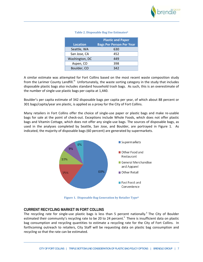

|  |  |  | Table 2. Disposable Bag Use Estimatesii |
|--|--|--|-----------------------------------------|
|  |  |  |                                         |

|                 | <b>Plastic and Paper</b>        |
|-----------------|---------------------------------|
| <b>Location</b> | <b>Bags Per Person Per Year</b> |
| Seattle, WA     | 630                             |
| San Jose, CA    | 452                             |
| Washington, DC  | 449                             |
| Aspen, CO       | 398                             |
| Boulder, CO     | 342                             |

A similar estimate was attempted for Fort Collins based on the most recent waste composition study from the Larimer County Landfill.<sup>iii</sup> Unfortunately, the waste sorting category in the study that includes disposable plastic bags also includes standard household trash bags. As such, this is an overestimate of the number of single‐use plastic bags per capita at 1,440.

Boulder's per capita estimate of 342 disposable bags per capita per year, of which about 88 percent or 301 bags/capita/year are plastic, is applied as a proxy for the City of Fort Collins.

Many retailers in Fort Collins offer the choice of single‐use paper or plastic bags and make re‐usable bags for sale at the point of check‐out. Exceptions include Whole Foods, which does not offer plastic bags and Vitamin Cottage, which does not offer any single‐use bags. The sources of disposable bags, as used in the analyses completed by Seattle, San Jose, and Boulder, are portrayed in Figure 1. As indicated, the majority of disposable bags (60 percent) are generated by supermarkets.



**Figure 1. Disposable Bag Generation by Retailer Typeii**

#### **CURRENT RECYCLING MARKET IN FORT COLLINS**

The recycling rate for single-use plastic bags is less than 5 percent nationally.<sup>ii</sup> The City of Boulder estimated their community's recycling rate to be 20 to 24 percent.<sup>ii</sup> There is insufficient data on plastic bag consumption and recycling quantities to estimate a recycling rate for the City of Fort Collins. In forthcoming outreach to retailers, City Staff will be requesting data on plastic bag consumption and recycling so that the rate can be estimated.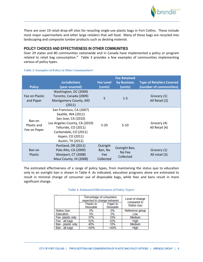

There are over 19 retail drop‐off sites for recycling single‐use plastic bags in Fort Collins. These include most major supermarkets and other large retailers that sell food. Many of these bags are recycled into landscaping and composite lumber products such as decking material.

## **POLICY CHOICES AND EFFECTIVENESS IN OTHER COMMUNITIES**

Over 29 states and 80 communities nationwide and in Canada have implemented a policy or program related to retail bag consumption.<sup>iv</sup> Table 3 provides a few examples of communities implementing various of policy types.

| <b>Policy</b>                         | <b>Jurisdictions</b><br>(year enacted)                                                                                                                                                           | <b>Fee Level</b><br>(cents)             | <b>Fee Retained</b><br>by Business<br>(cents) | <b>Type of Retailers Covered</b><br>(number of communities) |
|---------------------------------------|--------------------------------------------------------------------------------------------------------------------------------------------------------------------------------------------------|-----------------------------------------|-----------------------------------------------|-------------------------------------------------------------|
| Fee on Plastic<br>and Paper           | Washington, DC (2009)<br>Toronto, Canada (2009)<br>Montgomery County, MD<br>(2011)                                                                                                               | 5                                       | $1 - 5$                                       | Grocery (1)<br>All Retail (2)                               |
| Ban on<br>Plastic and<br>Fee on Paper | San Francisco, CA (2007)<br>Seattle, WA (2011)<br>San Jose, CA (2010)<br>Los Angeles County, CA (2010)<br>Telluride, CO (2011)<br>Carbondale, CO (2011)<br>Aspen, CO (2011)<br>Austin, TX (2012) | $5 - 20$                                | $5 - 10$                                      | Grocery (4)<br>All Retail (4)                               |
| Ban on<br><b>Plastic</b>              | Portland, OR (2011)<br>Palo Alto, CA (2009)<br>Westport, CT (2008)<br>Maui County, HI (2008)                                                                                                     | Outright<br>Ban, No<br>Fee<br>Collected | Outright Ban,<br>No Fee<br>Collected          | Grocery (1)<br>All retail (3)                               |

#### **Table 3. Examples of Policy in Other Communitiesii**

The estimated effectiveness of a range of policy types, from maintaining the status quo to education only to an outright ban is shown in Table 4. As indicated, education programs alone are estimated to result in minimal change of consumer use of disposable bags, while fees and bans result in more significant change.

|                    | Percentage of consumers<br>expected to change behavior |                      | Level of change<br>compared to |
|--------------------|--------------------------------------------------------|----------------------|--------------------------------|
|                    | Plastic to<br>Reusable                                 | Paper to<br>Reusable | <b>Status Quo</b>              |
| <b>Status Quo</b>  | 0%                                                     | $0\%$                | Reference group                |
| Education          | 5%                                                     | 5%                   | Low                            |
| Fee- plastic only  | 37%                                                    | 10%                  | Medium                         |
| Fee - all bags     | 52%                                                    | 52%                  | <b>High</b>                    |
| Ban - plastic only | 40%                                                    | 10%                  | Medium                         |
| Ban - all bags     | $>60\%$                                                | >60%                 | High                           |

#### **Table 4. Estimated Effectiveness of Policy Typesv**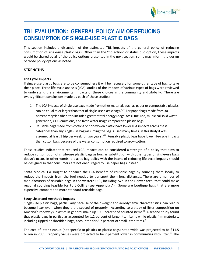

# **TBL EVALUATION: GENERAL POLICY AIM OF REDUCING CONSUMPTION OF SINGLE-USE PLASTIC BAGS**

This section includes a discussion of the estimated TBL impacts of the general policy of reducing consumption of single‐use plastic bags. Other than the "no action" or status quo option, these impacts would be shared by all of the policy options presented in the next section; some may inform the design of those policy options as noted.

#### **STRENGTHS**

#### **Life Cycle Impacts**

If single‐use plastic bags are to be consumed less it will be necessary for some other type of bag to take their place. Three life‐cycle analysis (LCA) studies of the impacts of various types of bags were reviewed to understand the environmental impacts of these choices in the community and globally. There are two significant conclusions made by each of these studies:

- 1. The LCA impacts of single-use bags made from other materials such as paper or compostable plastics can be equal to or larger than that of single-use plastic bags.<sup>vi,vii</sup> For paper bags made from 30 percent recycled fiber, this included greater total energy usage, fossil fuel use, municipal solid waste generation, GHG emissions, and fresh water usage compared to plastic bags.
- 2. Reusable bags made from cottons or non-woven plastic have lower LCA impacts across these categories than any single-use bag (assuming the bag is used many times, in this study it was assumed at least 1 trip per week for two years).<sup>viii</sup> Reusable plastic bags have lower life-cycle impacts than cotton bags because of the water consumption required to grow cotton.

These studies indicate that reduced LCA impacts can be considered a strength of a policy that aims to reduce consumption of single‐use plastic bags as long as substitution with other types of single‐use bags doesn't occur. In other words, a plastic bag policy with the intent of reducing life‐cycle impacts should be designed so that consumers are not encouraged to use paper bags instead.

Santa Monica, CA sought to enhance the LCA benefits of reusable bags by sourcing them locally to reduce the impacts from the fuel needed to transport them long distances. There are a number of manufacturers of reusable bags in the western U.S., including two in the Denver area, that could make regional sourcing feasible for Fort Collins (see Appendix A). Some are boutique bags that are more expensive compared to more standard reusable bags.

#### **Stray Litter and Aesthetic Impacts**

Single‐use plastic bags, particularly because of their weight and aerodynamic characteristics, can readily become litter even when they are disposed of properly. According to a study of litter composition on America's roadways, plastics in general make up 19.3 percent of counted items.<sup>ix</sup> A second study found that plastic bags in particular accounted for 1.2 percent of large litter items while plastic film materials, including ripped or shredded bags, accounted for 8.7 percent of small litter items. $^{x}$ 

The cost of litter cleanup (not specific to plastics or plastic bags) nationwide was projected to be \$11.5 billion in 2009. Property values were projected to be 7 percent lower in communities with litter.<sup>18</sup> The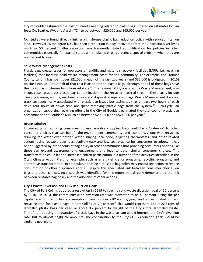

City of Boulder estimated the cost of street sweeping related to plastic bags ‐ based on estimates by San Jose, CA, Seattle, WA, and Austin, TX - to be between \$20,000 and \$65,000 per year."

No studies were found directly linking a single‐use plastic bag reduction policy with reduced litter on land. However, Washington D.C. has seen a reduction in bags recovered from the Anacostia River by as much as 50 percent.<sup>xi</sup> Litter reduction was frequently stated as justification for policies in other communities especially for coastal states where plastic bags represent a special problem when they are washed out to sea.

#### **Solid Waste Management Costs**

Plastic bags create issues for operators of landfills and materials recovery facilities (MRFs, i.e. recycling facilities) that increase solid waste management costs for the community. For example, the Larimer County Landfill has spent over \$21,000 in each of the last two years (and \$35,000 is budgeted in 2013) on site clean‐up. About half of that cost is attributed to plastic bags, although not all of these bags have their origin as single-use bags from retailers.<sup>xii</sup> The regional MRF, operated by Waste Management, also incurs costs to address plastic bag contamination in the recycled material stream. These costs include cleaning screens, sorting, machine repairs, and disposal of separated bags. Waste Management does not track cost specifically associated with plastic bag issues but estimates that at least two hours of each day's four hours of down time are spent removing plastic bags from the system.<sup>xiii</sup> Eco-Cycle, an organization supporting recycling efforts in the City of Boulder, estimated the total cost of plastic bag contamination to Boulder's MRF to be between \$200,000 and \$524,000 per year.<sup>ii</sup>

#### **Reuse Mindset**

Encouraging or requiring consumers to use reusable shopping bags could be a "gateway" to other consumer choices that can benefit the environment, community, and economy. Along with recycling, drinking tap water over bottled water, buying local food, adjusting thermostats, and other related actions, using reusable bags is a relatively easy and low‐cost practice for consumers to adopt. It has been suggested by proponents of bag policy in other communities that providing consumers options like these can expand awareness and engagement and lead to other similar consumer choices. This transformation could lead to increased citizen participation in a number of the activities identified in the City's Climate Action Plan, for example, such as energy efficiency programs, recycling programs, and alternative transportation. In particular, adopting a reusable bag policy may encourage action to reduce consumption of other disposable goods. Despite this speculated link between consumer choices on bags and other choices, no research was identified for this report that directly demonstrated the link between reusable bag policy and the adoption of other actions.

#### **City's Waste Diversion and GHG Reduction Goals**

The City of Fort Collins adopted a resolution in 1999 to reach a solid waste diversion goal of 50 percent by 2010. In 2010, the community-wide diversion rate was estimated to be 43 percent. Using the per capita rate of plastic bag consumption from Boulder (301/capita/year) and an estimated current recycling rate for plastic bags in Fort Collins of 20 percent," this would represent about 220 tons of landfilled plastic bags per year, or about 0.2 percent by weight of the City's total landfilled waste. Therefore, reducing the quantity of plastic bags in the waste stream would improve the City's diversion rate, but by almost negligible amounts. The contribution to the City's GHG reduction goals would be similarly negligible.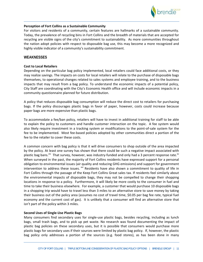

#### **Perception of Fort Collins as a Sustainable Community**

For visitors and residents of a community, certain features are hallmarks of a sustainable community. Today, the prevalence of recycling bins in Fort Collins and the breadth of materials that are accepted for recycling are visible signs of the city's commitment to sustainability. As more communities throughout the nation adopt policies with respect to disposable bag use, this may become a more recognized and highly visible indicator of a community's sustainability commitment.

#### **WEAKNESSES**

#### **Cost to Local Retailers**

Depending on the particular bag policy implemented, local retailers could face additional costs, or they may realize savings. The impacts on costs for local retailers will relate to the purchase of disposable bags themselves, to operational changes related to sales systems and employee training, and to the business impacts that may result from a bag policy. To understand the economic impacts of a potential policy, City Staff are coordinating with the City's Economic Health office and will include economic impacts in a community questionnaire planned for future distribution.

A policy that reduces disposable bag consumption will reduce the direct cost to retailers for purchasing bags. If the policy discourages plastic bags in favor of paper, however, costs could increase because paper bags are more expensive than plastic bags.

To accommodate a fee/ban policy, retailers will have to invest in additional training for staff to be able to explain the policy to customers and handle customer interaction on the topic. A fee system would also likely require investment in a tracking system or modifications to the point‐of‐sale system for the fee to be implemented. Most fee‐based policies adopted by other communities direct a portion of the fee to the retailer to cover these costs.

A common concern with bag policy is that it will drive consumers to shop outside of the area impacted by the policy. At least one survey has shown that there could be such a negative impact associated with plastic bag bans.<sup>xiv</sup> That survey, however, was industry-funded and only had a 3 percent response rate.<sup>xv</sup> When surveyed in the past, the majority of Fort Collins residents have expressed support for a personal obligation to environmental issues (air quality and reducing GHG emissions) and support for government intervention to address these issues.  $x^{0}$  Residents have also shown a commitment to quality of life in Fort Collins through the passage of the Keep Fort Collins Great sales tax. If residents feel similarly about the environmental impacts of disposable bags, they may not be compelled to change their shopping locations in response to a policy. Furthermore, it will likely be more costly to the consumer in fuel and time to take their business elsewhere. For example, a customer that would purchase 10 disposable bags in a shopping trip would have to travel less than 3 miles to an alternative store to save money by taking their business out of the policy area (assumes no cost of travel time, \$0.05 per bag fee rate, typical fuel economy and the current cost of gas). It is unlikely that a consumer will find an alternative store that isn't part of the policy within 3 miles.

#### **Second Uses of Single‐Use Plastic Bags**

Many consumers find secondary uses for single-use plastic bags, besides recycling, including as lunch bags, small trash bags, and to pick up pet waste. No research was found documenting the impact of plastic bag policies on these secondary uses, but it is possible that consumers would purchase more plastic bags for secondary uses if their sources were limited by plastic bag policy. If, however, the plastic bag policy only addresses a portion of the sources (e.g. food stores), as has been done in many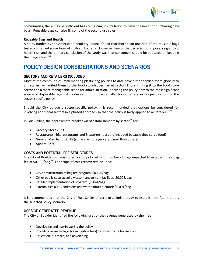

communities, there may be sufficient bags remaining in circulation to deter the need for purchasing new bags. Reusable bags can also fill some of the second use roles.

#### **Reusable Bags and Health**

A study funded by the American Chemistry Council found that more than one‐half of the reusable bags tested contained some form of coliform bacteria. However, few of the bacteria found pose a significant health risk, and the primary conclusion of the study was that consumers should be educated on keeping their bags clean.<sup>xvii</sup>

# **POLICY DESIGN CONSIDERATIONS AND SCENARIOS**

#### **SECTORS AND RETAILERS INCLUDED**

Most of the communities implementing plastic bag policies to date have either applied them globally to all retailers or limited them to the food store/supermarket sector. Those limiting it to the food store sector cite a more manageable scope for administration, applying the policy only to the most significant source of disposable bags with a desire to not impact smaller boutique retailers as justification for the sector‐specific policy.

Should the City pursue a sector‐specific policy, it is recommended that options be considered for involving additional sectors in a phased approach so that the policy is fairly applied to all retailers.<sup>xviii</sup>

In Fort Collins, the approximate breakdown of establishments by sector<sup>xix</sup> are:

- Grocery Stores: 23
- Restaurants: 461 restaurants and 8 caterers (bars are included because they serve food)
- General Merchandise: 25 (some are more grocery based than others)
- Apparel: 274

#### **COSTS AND POTENTIAL FEE STRUCTURES**

The City of Boulder commissioned a study of costs and number of bags impacted to establish their bag fee at \$0.199/bag.<sup>xx</sup> The scope of costs recovered included:

- City administration of bag fee program: \$0.146/bag
- Other public costs at solid waste management facilities: \$0.008/bag
- Retailer implementation of program: \$0.044/bag
- Externalities(GHG emissions and water infrastructure): \$0.001/bag

It is recommended that the City of Fort Collins undertake a similar study to establish the fee, if that is the selected policy scenario.

## **USES OF GENERATED REVENUE**

The City of Boulder identified the following uses of the revenue generated by their fee:

- Developing and administering the policy
- Providing reusable bags (or mitigating fees) for low-income households
- Education, outreach, and advertising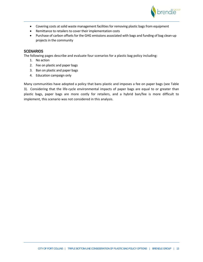

- Covering costs at solid waste management facilities for removing plastic bags from equipment
- Remittance to retailers to cover their implementation costs
- Purchase of carbon offsets for the GHG emissions associated with bags and funding of bag clean-up projects in the community

## **SCENARIOS**

The following pages describe and evaluate four scenarios for a plastic bag policy including:

- 1. No action
- 2. Fee on plastic and paper bags
- 3. Ban on plastic and paper bags
- 4. Education campaign only

Many communities have adopted a policy that bans plastic and imposes a fee on paper bags (see Table 3). Considering that the life‐cycle environmental impacts of paper bags are equal to or greater than plastic bags, paper bags are more costly for retailers, and a hybrid ban/fee is more difficult to implement, this scenario was not considered in this analysis.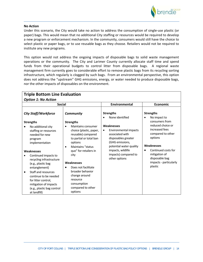

#### **No Action**

Under this scenario, the City would take no action to address the consumption of single‐use plastic (or paper) bags. This would mean that no additional City staffing or resources would be required to develop a new program or enforcement mechanism. In the community, consumers would still have the choice to select plastic or paper bags, or to use reusable bags as they choose. Retailers would not be required to institute any new programs.

This option would not address the ongoing impacts of disposable bags to solid waste management operations or the community. The City and Larimer County currently allocate staff time and spend funds from their operational budgets to control litter from disposable bags. A regional waste management firm currently goes to considerable effort to remove plastic bags from its recycling sorting infrastructure, which regularly is clogged by such bags. From an environmental perspective, this option does not address the "upstream" GHG emissions, energy, or water needed to produce disposable bags, nor the other impacts of disposables on the environment.

| <b>Triple Bottom Line Evaluation</b><br><b>Option 1: No Action</b>                                                                                                                                                                                                                                                                                                                 |                                                                                                                                                                                                                                                                                                                                              |                                                                                                                                                                                                        |                                                                                                                                                                                                    |  |  |  |  |
|------------------------------------------------------------------------------------------------------------------------------------------------------------------------------------------------------------------------------------------------------------------------------------------------------------------------------------------------------------------------------------|----------------------------------------------------------------------------------------------------------------------------------------------------------------------------------------------------------------------------------------------------------------------------------------------------------------------------------------------|--------------------------------------------------------------------------------------------------------------------------------------------------------------------------------------------------------|----------------------------------------------------------------------------------------------------------------------------------------------------------------------------------------------------|--|--|--|--|
| <b>Social</b>                                                                                                                                                                                                                                                                                                                                                                      |                                                                                                                                                                                                                                                                                                                                              | Environmental                                                                                                                                                                                          | <b>Economic</b>                                                                                                                                                                                    |  |  |  |  |
| <b>City Staff/Workforce</b><br>Community                                                                                                                                                                                                                                                                                                                                           |                                                                                                                                                                                                                                                                                                                                              | <b>Strengths</b><br>None identified                                                                                                                                                                    | <b>Strengths</b><br>No impact to<br>$\bullet$                                                                                                                                                      |  |  |  |  |
| <b>Strengths</b><br>No additional city<br>staffing or resources<br>needed for new<br>program<br>implementation<br>Weaknesses<br>Continued impacts to<br>recycling infrastructure<br>(e.g., plastic bag<br>entanglement)<br>Staff and resources<br>$\bullet$<br>continue to be needed<br>for litter control,<br>mitigation of impacts<br>(e.g., plastic bag control<br>at landfill) | <b>Strengths</b><br>Maintains consumer<br>choice (plastic, paper,<br>reusable) compared<br>to partial or total ban<br>options<br><b>Maintains "status</b><br>$\bullet$<br>quo" for retailers in<br>city<br>Weaknesses<br>Does not facilitate<br>broader behavior<br>change around<br>resource<br>consumption<br>compared to other<br>options | Weaknesses<br>Environmental impacts<br>$\bullet$<br>associated with<br>disposables greater<br>(GHG emissions,<br>potential water quality<br>impacts, wildlife<br>impacts) compared to<br>other options | consumers from<br>reduced choice or<br>increased fees<br>compared to other<br>options<br>Weaknesses<br>Continued costs for<br>mitigation of<br>disposable bag<br>impacts - particularly<br>plastic |  |  |  |  |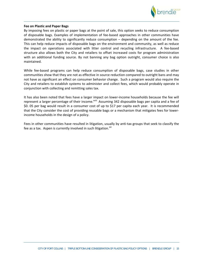

#### **Fee on Plastic and Paper Bags**

By imposing fees on plastic or paper bags at the point of sale, this option seeks to reduce consumption of disposable bags. Examples of implementation of fee‐based approaches in other communities have demonstrated the ability to significantly reduce consumption – depending on the amount of the fee. This can help reduce impacts of disposable bags on the environment and community, as well as reduce the impact on operations associated with litter control and recycling infrastructure. A fee-based structure also allows both the City and retailers to offset increased costs for program administration with an additional funding source. By not banning any bag option outright, consumer choice is also maintained.

While fee-based programs can help reduce consumption of disposable bags, case studies in other communities show that they are not as effective in source reduction compared to outright bans and may not have as significant an effect on consumer behavior change. Such a program would also require the City and retailers to establish systems to administer and collect fees, which would probably operate in conjunction with collecting and remitting sales tax.

It has also been noted that fees have a larger impact on lower-income households because the fee will represent a larger percentage of their income.<sup>xviii</sup> Assuming 342 disposable bags per capita and a fee of \$0. 05 per bag would result in a consumer cost of up to \$17 per capita each year. It is recommended that the City consider the cost of providing reusable bags or a mechanism that mitigates fees for lower‐ income households in the design of a policy.

Fees in other communities have resulted in litigation, usually by anti-tax groups that seek to classify the fee as a tax. Aspen is currently involved in such litigation.<sup>xxi</sup>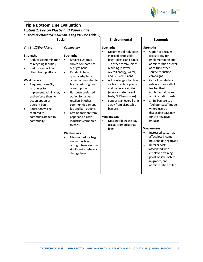

## **Triple Bottom Line Evaluation** *Option 2: Fee on Plastic and Paper Bags*

*52 percent estimated reduction in bag use (see* Table 4*)*

| <b>Social</b>          |                                                                                                                                                                                                                                                                                                                                      | Environmental                                    |                                                                                                                                                                                                                                                                                                                                                                                                                                                               | <b>Economic</b>                     |                                                                                                                                                                                                                                                                                                                                                                                                                                                     |                                                               |                                                                                                                                                                                                                                                                                                                                                                                                                                                                                                   |
|------------------------|--------------------------------------------------------------------------------------------------------------------------------------------------------------------------------------------------------------------------------------------------------------------------------------------------------------------------------------|--------------------------------------------------|---------------------------------------------------------------------------------------------------------------------------------------------------------------------------------------------------------------------------------------------------------------------------------------------------------------------------------------------------------------------------------------------------------------------------------------------------------------|-------------------------------------|-----------------------------------------------------------------------------------------------------------------------------------------------------------------------------------------------------------------------------------------------------------------------------------------------------------------------------------------------------------------------------------------------------------------------------------------------------|---------------------------------------------------------------|---------------------------------------------------------------------------------------------------------------------------------------------------------------------------------------------------------------------------------------------------------------------------------------------------------------------------------------------------------------------------------------------------------------------------------------------------------------------------------------------------|
|                        | <b>City Staff/Workforce</b>                                                                                                                                                                                                                                                                                                          |                                                  | <b>Community</b>                                                                                                                                                                                                                                                                                                                                                                                                                                              |                                     | <b>Strengths</b>                                                                                                                                                                                                                                                                                                                                                                                                                                    |                                                               | <b>Strengths</b>                                                                                                                                                                                                                                                                                                                                                                                                                                                                                  |
| $\bullet$<br>$\bullet$ | <b>Strengths</b><br>Reduces contamination<br>at recycling facilities<br>Reduces impacts on<br>litter cleanup efforts<br>Weaknesses<br>Requires more City<br>resources to<br>implement, administer,<br>and enforce than no<br>action option or<br>outright ban<br>Education will be<br>required to<br>communicate fee to<br>community | $\bullet$<br>$\bullet$<br>$\bullet$<br>$\bullet$ | <b>Strengths</b><br>Retains customer<br>choice compared to<br>outright bans<br>Residents have<br>quickly adapted in<br>other communities to<br>fee by reducing bag<br>consumption<br>Has been preferred<br>option for larger<br>retailers in other<br>communities among<br>fee and ban options<br>Less opposition from<br>paper and plastic<br>industries compared<br>to bans<br>Weaknesses<br>May not reduce bag<br>use as much as<br>outright bans - not as | $\bullet$<br>$\bullet$<br>$\bullet$ | Documented reduction<br>in use of disposable<br>bags - plastic and paper<br>- in other communities<br>resulting in lower<br>overall energy, water,<br>and GHG emissions<br>Acknowledges that life-<br>cycle impacts of plastic<br>and paper are similar<br>(energy, water, fossil<br>fuels, GHG emissions)<br>Supports an overall shift<br>away from disposable<br>bag use<br>Weaknesses<br>Does not decrease bag<br>use as dramatically as<br>bans | $\bullet$<br>$\bullet$<br>$\bullet$<br>$\bullet$<br>$\bullet$ | Option to recover<br>costs to city for<br>implementation and<br>administration as well<br>as to fund other<br>source-reduction<br>campaigns<br>Can allow retailers to<br>retain some or all of<br>fee to offset<br>implementation and<br>administration costs<br>Shifts bag use to a<br>"polluter pays" model<br>where users of<br>disposable bags pay<br>for the negative<br>impacts<br>Weaknesses<br>Increased costs may<br>affect low-income<br>households negatively<br><b>Retailer costs</b> |
|                        |                                                                                                                                                                                                                                                                                                                                      |                                                  | significant a behavior<br>change lever                                                                                                                                                                                                                                                                                                                                                                                                                        |                                     |                                                                                                                                                                                                                                                                                                                                                                                                                                                     |                                                               | associated with<br>employee training,<br>point-of-sale system<br>upgrades, and<br>administration of fees                                                                                                                                                                                                                                                                                                                                                                                          |
|                        |                                                                                                                                                                                                                                                                                                                                      |                                                  |                                                                                                                                                                                                                                                                                                                                                                                                                                                               |                                     |                                                                                                                                                                                                                                                                                                                                                                                                                                                     |                                                               |                                                                                                                                                                                                                                                                                                                                                                                                                                                                                                   |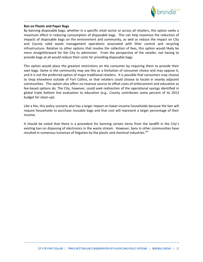

#### **Ban on Plastic and Paper Bags**

By banning disposable bags, whether in a specific retail sector or across all retailers, this option seeks a maximum effect in reducing consumption of disposable bags. This can help maximize the reduction of impacts of disposable bags on the environment and community, as well as reduce the impact on City and County solid waste management operations associated with litter control and recycling infrastructure. Relative to other options that involve the collection of fees, this option would likely be more straightforward for the City to administer. From the perspective of the retailer, not having to provide bags at all would reduce their costs for providing disposable bags.

This option would place the greatest restrictions on the consumer by requiring them to provide their own bags. Some in the community may see this as a limitation of consumer choice and may oppose it, and it is not the preferred option of major traditional retailers. It is possible that consumers may choose to shop elsewhere outside of Fort Collins, or that retailers could choose to locate in nearby adjacent communities. This option also offers no revenue source to offset costs of enforcement and education as fee-based options do. The City, however, could seek redirection of the operational savings identified in global triple bottom line evaluation to education (e.g., County contributes some percent of its 2013 budget for clean‐up).

Like a fee, this policy scenario also has a larger impact on lower-income households because the ban will require households to purchase reusable bags and that cost will represent a larger percentage of their income.

It should be noted that there is a precedent for banning certain items from the landfill in the City's existing ban on disposing of electronics in the waste stream. However, bans in other communities have resulted in numerous instances of litigation by the plastic and chemical industries.<sup>xxii</sup>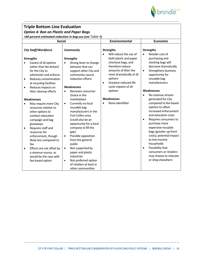

# **Triple Bottom Line Evaluation**

*Option 4: Ban on Plastic and Paper Bags* 

*>60 percent estimated reduction in bag use (see* Table 4*)*

| <b>Social</b>                                                                                                                                                                                                         |                                                                                                                                                               | Environmental                                                                                                                                                                                  | <b>Economic</b>                                                                                                                                                |
|-----------------------------------------------------------------------------------------------------------------------------------------------------------------------------------------------------------------------|---------------------------------------------------------------------------------------------------------------------------------------------------------------|------------------------------------------------------------------------------------------------------------------------------------------------------------------------------------------------|----------------------------------------------------------------------------------------------------------------------------------------------------------------|
| <b>City Staff/Workforce</b>                                                                                                                                                                                           | <b>Community</b>                                                                                                                                              | <b>Strengths</b><br>Will reduce the use of                                                                                                                                                     | <b>Strengths</b><br>Retailer cost of                                                                                                                           |
| <b>Strengths</b><br>Easiest of all options<br>(other than No Action)<br>for the City to<br>administer and enforce<br>Reduces contamination<br>$\bullet$<br>at recycling facilities<br>Reduces impacts on<br>$\bullet$ | <b>Strengths</b><br>Strong lever to change<br>$\bullet$<br>behavior that can<br>support other City and<br>community source<br>reduction efforts<br>Weaknesses | both plastic and paper<br>checkout bags, and<br>therefore reduce<br>amounts of litter the<br>most dramatically of all<br>options<br>Greatest reduced life<br>$\bullet$<br>cycle impacts of all | purchasing and<br>stocking bags will<br>decrease dramatically<br>Strengthens business<br>$\bullet$<br>opportunity for<br>reusable bag<br>manufacturers         |
| litter cleanup efforts                                                                                                                                                                                                | Removes consumer<br>choice in the                                                                                                                             | options                                                                                                                                                                                        | Weaknesses<br>No revenue stream<br>$\bullet$                                                                                                                   |
| Weaknesses                                                                                                                                                                                                            | marketplace                                                                                                                                                   | Weaknesses                                                                                                                                                                                     | generated for City                                                                                                                                             |
| May require more City<br>resources relative to<br>other options to<br>conduct education                                                                                                                               | Currently no local<br>$\bullet$<br>reusable bag<br>manufacturers in the<br>Fort Collins area                                                                  | None identified                                                                                                                                                                                | compared to fee-based<br>options to offset<br>increased enforcement<br>and education costs                                                                     |
| campaign and bag<br>giveaways<br>Requires staff and<br>$\bullet$<br>resources for<br>enforcement, though<br>likely less compared to<br>fee                                                                            | (could also be an<br>opportunity for a local<br>company to fill the<br>gap)<br>Possible opposition<br>$\bullet$<br>from the general<br>public                 |                                                                                                                                                                                                | Requires consumers to<br>$\bullet$<br>purchase more<br>expensive reusable<br>bags (greater up-front<br>costs); potential impact<br>to low-income<br>households |
| Efforts are not offset by<br>$\bullet$<br>a revenue source, as<br>would be the case with<br>fee-based option                                                                                                          | Not supported by<br>$\bullet$<br>paper and plastic<br>industries<br>Not preferred option<br>$\bullet$<br>of retailers at least in<br>other communities        |                                                                                                                                                                                                | Possibility that<br>$\bullet$<br>consumers or retailers<br>may choose to relocate<br>or shop elsewhere                                                         |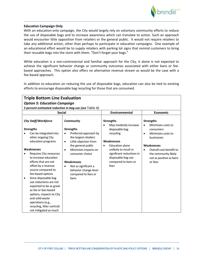

#### **Education Campaign Only**

With an education-only campaign, the City would largely rely on voluntary community efforts to reduce the use of disposable bags and to increase awareness which can translate to action. Such an approach would encounter little opposition from retailers or the general public. It would not require retailers to take any additional action, other than perhaps to participate in education campaigns. One example of an educational effort would be to supply retailers with parking lot signs that remind customers to bring their reusable bags into the store with them: "Don't forget your bags."

While education is a non-controversial and familiar approach for the City, it alone is not expected to achieve the significant behavior change or community outcomes associated with either bans or fee‐ based approaches. This option also offers no alternative revenue stream as would be the case with a fee‐based approach.

In addition to education on reducing the use of disposable bags, education can also be tied to existing efforts to encourage disposable bag recycling for those that are consumed.

| <b>Triple Bottom Line Evaluation</b><br><b>Option 5: Education Campaign</b>                                                                                                                                                                                                                                                                                   |                                                                                                                                                                                                                                                                                                        |                                                                                                                                                                                                                                   |                                                                                                                                                                                                      |  |  |
|---------------------------------------------------------------------------------------------------------------------------------------------------------------------------------------------------------------------------------------------------------------------------------------------------------------------------------------------------------------|--------------------------------------------------------------------------------------------------------------------------------------------------------------------------------------------------------------------------------------------------------------------------------------------------------|-----------------------------------------------------------------------------------------------------------------------------------------------------------------------------------------------------------------------------------|------------------------------------------------------------------------------------------------------------------------------------------------------------------------------------------------------|--|--|
| 5 percent estimated reduction in bag use (see Table 4)                                                                                                                                                                                                                                                                                                        |                                                                                                                                                                                                                                                                                                        |                                                                                                                                                                                                                                   |                                                                                                                                                                                                      |  |  |
| <b>Social</b>                                                                                                                                                                                                                                                                                                                                                 |                                                                                                                                                                                                                                                                                                        | <b>Environmental</b>                                                                                                                                                                                                              | <b>Economic</b>                                                                                                                                                                                      |  |  |
| <b>City Staff/Workforce</b>                                                                                                                                                                                                                                                                                                                                   | <b>Community</b>                                                                                                                                                                                                                                                                                       | <b>Strengths</b>                                                                                                                                                                                                                  | <b>Strengths</b>                                                                                                                                                                                     |  |  |
| <b>Strengths</b><br>Can be integrated into<br>other ongoing City<br>education programs<br><b>Weaknesses</b><br>Requires City resources<br>to increase education<br>efforts that are not<br>offset by a revenue<br>source compared to<br>fee-based options<br>Since disposable bag<br>use reductions are not<br>expected to be as great<br>as fee or ban-based | <b>Strengths</b><br>Preferred approach by<br>٠<br>the largest retailers<br>Little objection from<br>$\bullet$<br>the general public<br>Minimizes impacts on<br>$\bullet$<br>consumer choice<br>Weaknesses<br>Not as significant a<br>$\bullet$<br>behavior change lever<br>compared to fees or<br>bans | May modestly increase<br>$\bullet$<br>disposable bag<br>recycling<br>Weaknesses<br><b>Education alone</b><br>$\bullet$<br>unlikely to result in<br>significant reductions in<br>disposable bag use<br>compared to bans or<br>fees | Minimizes costs to<br>$\bullet$<br>consumers<br>Minimizes costs to<br>$\bullet$<br>businesses<br>Weaknesses<br>Overall cost-benefit to<br>the community likely<br>not as positive as bans<br>or fees |  |  |
| options, impacts to City<br>and solid waste<br>operations (e.g.,<br>recycling, litter control)<br>not mitigated as much                                                                                                                                                                                                                                       |                                                                                                                                                                                                                                                                                                        |                                                                                                                                                                                                                                   |                                                                                                                                                                                                      |  |  |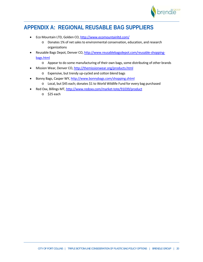

# **APPENDIX A: REGIONAL REUSABLE BAG SUPPLIERS**

- Eco Mountain LTD, Golden CO, http://www.ecomountainltd.com/
	- o Donates 1% of netsalesto environmental conservation, education, and research organizations
- Reusable Bags Depot, Denver CO, http://www.reusablebagsdepot.com/reusable-shoppingbags.html
	- $\circ$  Appear to do some manufacturing of their own bags, some distributing of other brands
- Mission Wear, Denver CO, http://themissionwear.org/products.html
	- o Expensive, but trendy up‐cycled and cotton blend bags
- Bonny Bags, Casper WY, http://www.bonnybags.com/shopping.shtml
	- o Local, but \$45 each; donates \$1 to World Wildlife Fund for every bag purchased
- Red Oxx, Billings MT, http://www.redoxx.com/market-tote/91039/product
	- o \$25 each